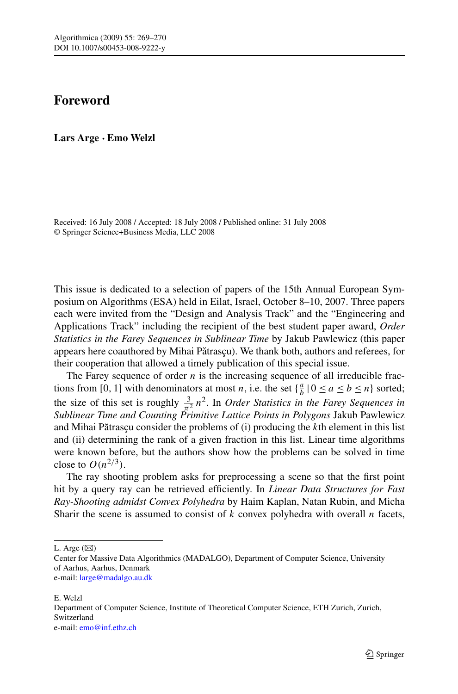## **Foreword**

**Lars Arge · Emo Welzl**

Received: 16 July 2008 / Accepted: 18 July 2008 / Published online: 31 July 2008 © Springer Science+Business Media, LLC 2008

This issue is dedicated to a selection of papers of the 15th Annual European Symposium on Algorithms (ESA) held in Eilat, Israel, October 8–10, 2007. Three papers each were invited from the "Design and Analysis Track" and the "Engineering and Applications Track" including the recipient of the best student paper award, *Order Statistics in the Farey Sequences in Sublinear Time* by Jakub Pawlewicz (this paper appears here coauthored by Mihai Pătrasçu). We thank both, authors and referees, for their cooperation that allowed a timely publication of this special issue.

The Farey sequence of order  $n$  is the increasing sequence of all irreducible fractions from [0, 1] with denominators at most *n*, i.e. the set  $\{\frac{a}{b} \mid 0 \le a \le b \le n\}$  sorted; the size of this set is roughly  $\frac{3}{\pi^2}n^2$ . In *Order Statistics in the Farey Sequences in Sublinear Time and Counting Primitive Lattice Points in Polygons* Jakub Pawlewicz and Mihai Pătrasçu consider the problems of (i) producing the *k*th element in this list and (ii) determining the rank of a given fraction in this list. Linear time algorithms were known before, but the authors show how the problems can be solved in time close to  $O(n^{2/3})$ .

The ray shooting problem asks for preprocessing a scene so that the first point hit by a query ray can be retrieved efficiently. In *Linear Data Structures for Fast Ray-Shooting admidst Convex Polyhedra* by Haim Kaplan, Natan Rubin, and Micha Sharir the scene is assumed to consist of *k* convex polyhedra with overall *n* facets,

L. Arge  $(\boxtimes)$ 

e-mail: [large@madalgo.au.dk](mailto:large@madalgo.au.dk)

E. Welzl Department of Computer Science, Institute of Theoretical Computer Science, ETH Zurich, Zurich, Switzerland e-mail: [emo@inf.ethz.ch](mailto:emo@inf.ethz.ch)

Center for Massive Data Algorithmics (MADALGO), Department of Computer Science, University of Aarhus, Aarhus, Denmark